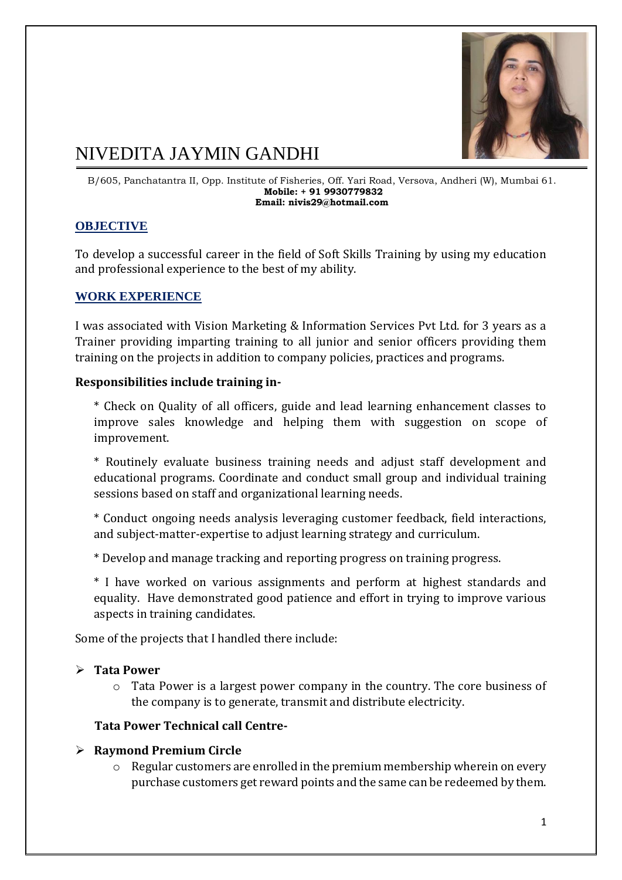

# NIVEDITA JAYMIN GANDHI

B/605, Panchatantra II, Opp. Institute of Fisheries, Off. Yari Road, Versova, Andheri (W), Mumbai 61. **Mobile: + 91 9930779832 Email: nivis29@hotmail.com**

# **OBJECTIVE**

To develop a successful career in the field of Soft Skills Training by using my education and professional experience to the best of my ability.

## **WORK EXPERIENCE**

I was associated with Vision Marketing & Information Services Pvt Ltd. for 3 years as a Trainer providing imparting training to all junior and senior officers providing them training on the projects in addition to company policies, practices and programs.

#### **Responsibilities include training in-**

\* Check on Quality of all officers, guide and lead learning enhancement classes to improve sales knowledge and helping them with suggestion on scope of improvement.

\* Routinely evaluate business training needs and adjust staff development and educational programs. Coordinate and conduct small group and individual training sessions based on staff and organizational learning needs.

\* Conduct ongoing needs analysis leveraging customer feedback, field interactions, and subject-matter-expertise to adjust learning strategy and curriculum.

\* Develop and manage tracking and reporting progress on training progress.

\* I have worked on various assignments and perform at highest standards and equality. Have demonstrated good patience and effort in trying to improve various aspects in training candidates.

Some of the projects that I handled there include:

#### **Tata Power**

o Tata Power is a largest power company in the country. The core business of the company is to generate, transmit and distribute electricity.

#### **Tata Power Technical call Centre-**

#### **Raymond Premium Circle**

o Regular customers are enrolled in the premium membership wherein on every purchase customers get reward points and the same can be redeemed by them.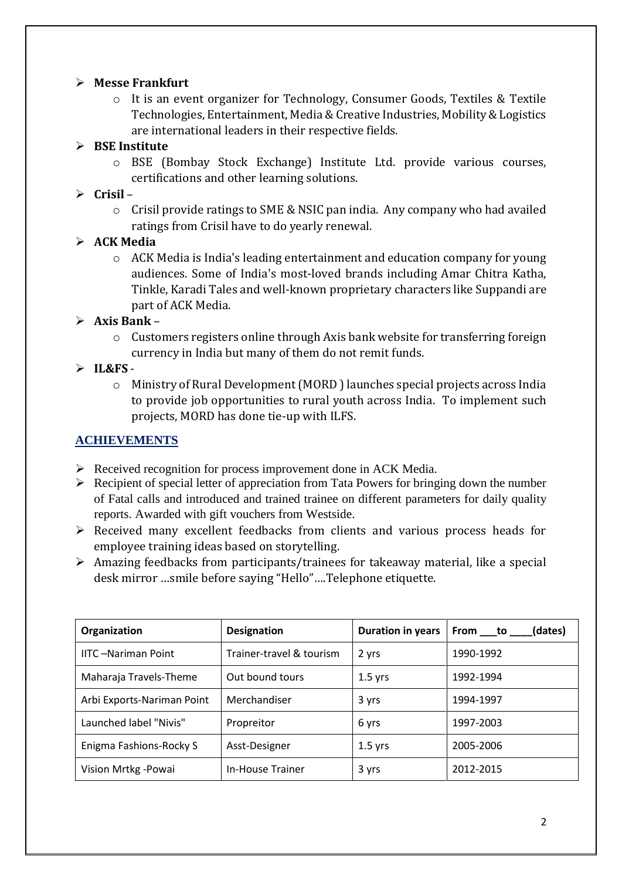## **Messe Frankfurt**

o It is an event organizer for Technology, Consumer Goods, Textiles & Textile Technologies, Entertainment, Media & Creative Industries, Mobility & Logistics are international leaders in their respective fields.

## **BSE Institute**

o BSE (Bombay Stock Exchange) Institute Ltd. provide various courses, certifications and other learning solutions.

#### **Crisil** –

o Crisil provide ratings to SME & NSIC pan india. Any company who had availed ratings from Crisil have to do yearly renewal.

## **ACK Media**

o ACK Media is India's leading entertainment and education company for young audiences. Some of India's most-loved brands including Amar Chitra Katha, Tinkle, Karadi Tales and well-known proprietary characters like Suppandi are part of ACK Media.

## **Axis Bank** –

o Customers registers online through Axis bank website for transferring foreign currency in India but many of them do not remit funds.

## $\triangleright$  IL&FS -

o Ministry of Rural Development (MORD ) launches special projects across India to provide job opportunities to rural youth across India. To implement such projects, MORD has done tie-up with ILFS.

## **ACHIEVEMENTS**

- $\triangleright$  Received recognition for process improvement done in ACK Media.
- $\triangleright$  Recipient of special letter of appreciation from Tata Powers for bringing down the number of Fatal calls and introduced and trained trainee on different parameters for daily quality reports. Awarded with gift vouchers from Westside.
- $\triangleright$  Received many excellent feedbacks from clients and various process heads for employee training ideas based on storytelling.
- $\triangleright$  Amazing feedbacks from participants/trainees for takeaway material, like a special desk mirror …smile before saying "Hello"….Telephone etiquette.

| Organization               | <b>Designation</b>       | Duration in years | (dates)<br>From to |  |
|----------------------------|--------------------------|-------------------|--------------------|--|
| <b>IITC-Nariman Point</b>  | Trainer-travel & tourism | 2 yrs             | 1990-1992          |  |
| Maharaja Travels-Theme     | Out bound tours          | $1.5$ yrs         | 1992-1994          |  |
| Arbi Exports-Nariman Point | Merchandiser             | 3 yrs             | 1994-1997          |  |
| Launched label "Nivis"     | Propreitor               | 6 yrs             | 1997-2003          |  |
| Enigma Fashions-Rocky S    | Asst-Designer            | $1.5$ yrs         | 2005-2006          |  |
| Vision Mrtkg -Powai        | In-House Trainer         | 3 yrs             | 2012-2015          |  |